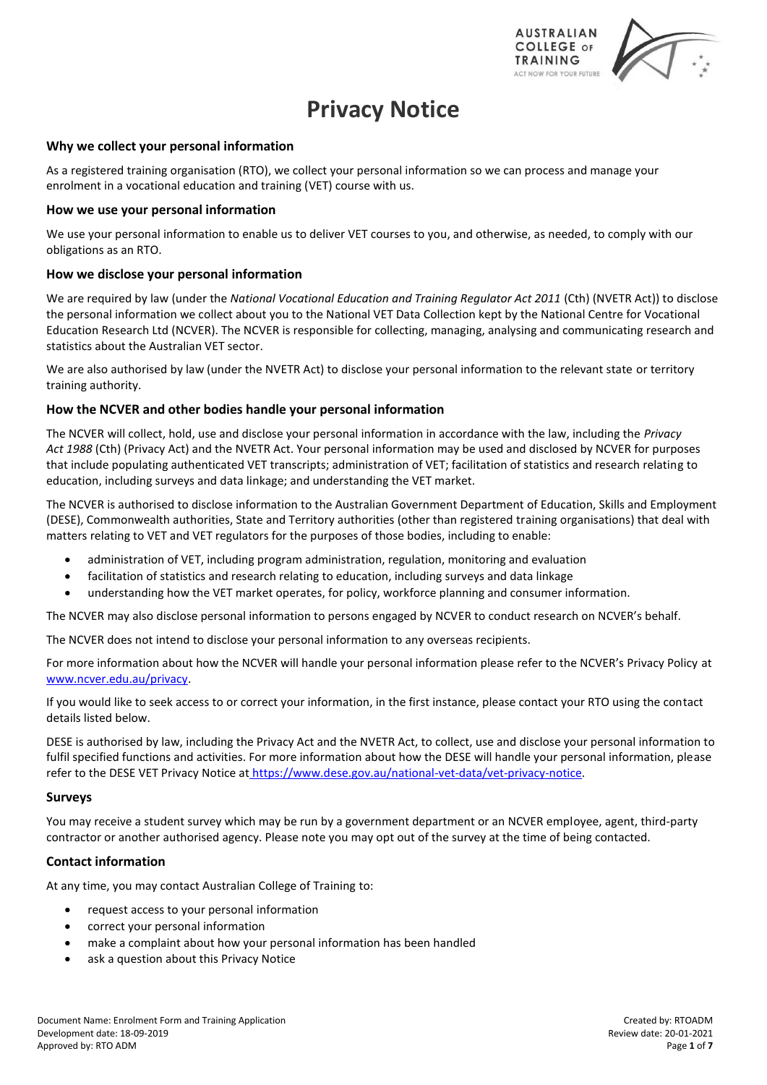

# **Privacy Notice**

#### **Why we collect your personal information**

As a registered training organisation (RTO), we collect your personal information so we can process and manage your enrolment in a vocational education and training (VET) course with us.

#### **How we use your personal information**

We use your personal information to enable us to deliver VET courses to you, and otherwise, as needed, to comply with our obligations as an RTO.

### **How we disclose your personal information**

We are required by law (under the *National Vocational Education and Training Regulator Act 2011* (Cth) (NVETR Act)) to disclose the personal information we collect about you to the National VET Data Collection kept by the National Centre for Vocational Education Research Ltd (NCVER). The NCVER is responsible for collecting, managing, analysing and communicating research and statistics about the Australian VET sector.

We are also authorised by law (under the NVETR Act) to disclose your personal information to the relevant state or territory training authority.

### **How the NCVER and other bodies handle your personal information**

The NCVER will collect, hold, use and disclose your personal information in accordance with the law, including the *Privacy Act 1988* (Cth) (Privacy Act) and the NVETR Act. Your personal information may be used and disclosed by NCVER for purposes that include populating authenticated VET transcripts; administration of VET; facilitation of statistics and research relating to education, including surveys and data linkage; and understanding the VET market.

The NCVER is authorised to disclose information to the Australian Government Department of Education, Skills and Employment (DESE), Commonwealth authorities, State and Territory authorities (other than registered training organisations) that deal with matters relating to VET and VET regulators for the purposes of those bodies, including to enable:

- administration of VET, including program administration, regulation, monitoring and evaluation
- facilitation of statistics and research relating to education, including surveys and data linkage
- understanding how the VET market operates, for policy, workforce planning and consumer information.

The NCVER may also disclose personal information to persons engaged by NCVER to conduct research on NCVER's behalf.

The NCVER does not intend to disclose your personal information to any overseas recipients.

For more information about how the NCVER will handle your personal information please refer to the NCVER's Privacy Policy at [www.ncver.edu.au/privacy.](http://www.ncver.edu.au/privacy)

If you would like to seek access to or correct your information, in the first instance, please contact your RTO using the contact details listed below.

DESE is authorised by law, including the Privacy Act and the NVETR Act, to collect, use and disclose your personal information to fulfil specified functions and activities. For more information about how the DESE will handle your personal information, please refer to the DESE VET Privacy Notice at [https://www.dese.gov.au/national-vet-data/vet-privacy-notice.](https://www.dese.gov.au/national-vet-data/vet-privacy-notice)

#### **Surveys**

You may receive a student survey which may be run by a government department or an NCVER employee, agent, third-party contractor or another authorised agency. Please note you may opt out of the survey at the time of being contacted.

## **Contact information**

At any time, you may contact Australian College of Training to:

- request access to your personal information
- correct your personal information
- make a complaint about how your personal information has been handled
- ask a question about this Privacy Notice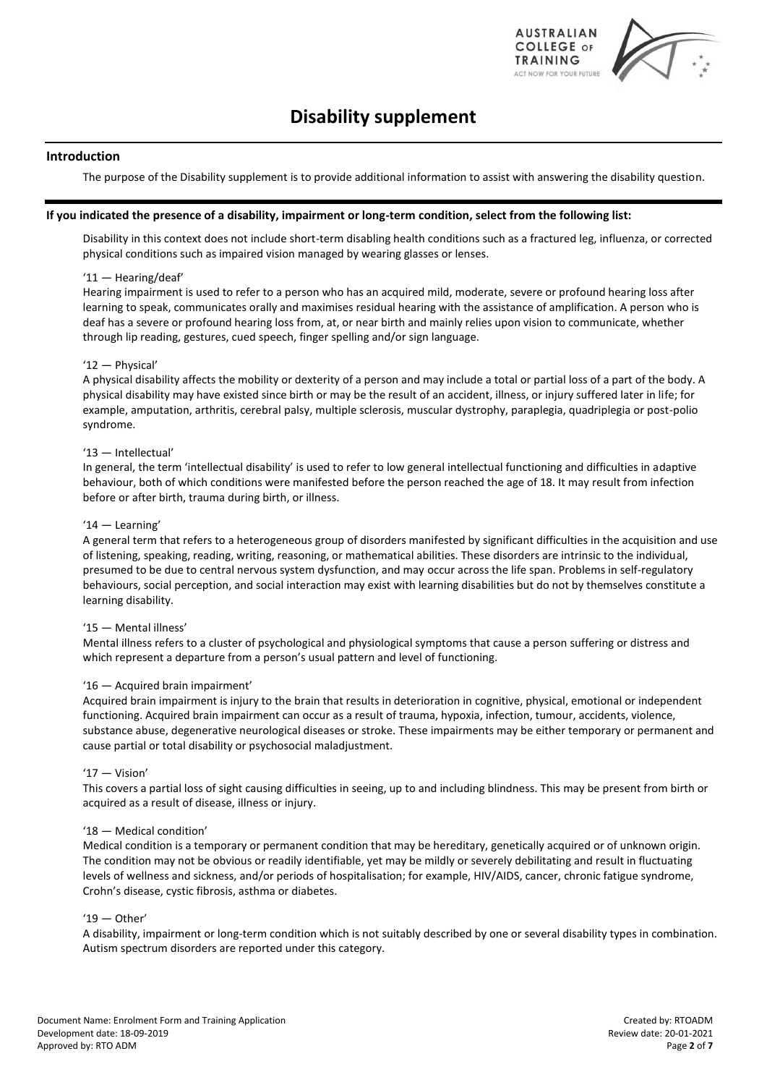

# **Disability supplement**

#### **Introduction**

The purpose of the Disability supplement is to provide additional information to assist with answering the disability question.

#### **If you indicated the presence of a disability, impairment or long-term condition, select from the following list:**

Disability in this context does not include short-term disabling health conditions such as a fractured leg, influenza, or corrected physical conditions such as impaired vision managed by wearing glasses or lenses.

#### '11 — Hearing/deaf'

Hearing impairment is used to refer to a person who has an acquired mild, moderate, severe or profound hearing loss after learning to speak, communicates orally and maximises residual hearing with the assistance of amplification. A person who is deaf has a severe or profound hearing loss from, at, or near birth and mainly relies upon vision to communicate, whether through lip reading, gestures, cued speech, finger spelling and/or sign language.

#### '12 — Physical'

A physical disability affects the mobility or dexterity of a person and may include a total or partial loss of a part of the body. A physical disability may have existed since birth or may be the result of an accident, illness, or injury suffered later in life; for example, amputation, arthritis, cerebral palsy, multiple sclerosis, muscular dystrophy, paraplegia, quadriplegia or post-polio syndrome.

#### '13 — Intellectual'

In general, the term 'intellectual disability' is used to refer to low general intellectual functioning and difficulties in adaptive behaviour, both of which conditions were manifested before the person reached the age of 18. It may result from infection before or after birth, trauma during birth, or illness.

#### '14 — Learning'

A general term that refers to a heterogeneous group of disorders manifested by significant difficulties in the acquisition and use of listening, speaking, reading, writing, reasoning, or mathematical abilities. These disorders are intrinsic to the individual, presumed to be due to central nervous system dysfunction, and may occur across the life span. Problems in self-regulatory behaviours, social perception, and social interaction may exist with learning disabilities but do not by themselves constitute a learning disability.

#### '15 — Mental illness'

Mental illness refers to a cluster of psychological and physiological symptoms that cause a person suffering or distress and which represent a departure from a person's usual pattern and level of functioning.

#### '16 — Acquired brain impairment'

Acquired brain impairment is injury to the brain that results in deterioration in cognitive, physical, emotional or independent functioning. Acquired brain impairment can occur as a result of trauma, hypoxia, infection, tumour, accidents, violence, substance abuse, degenerative neurological diseases or stroke. These impairments may be either temporary or permanent and cause partial or total disability or psychosocial maladjustment.

#### '17 — Vision'

This covers a partial loss of sight causing difficulties in seeing, up to and including blindness. This may be present from birth or acquired as a result of disease, illness or injury.

#### '18 — Medical condition'

Medical condition is a temporary or permanent condition that may be hereditary, genetically acquired or of unknown origin. The condition may not be obvious or readily identifiable, yet may be mildly or severely debilitating and result in fluctuating levels of wellness and sickness, and/or periods of hospitalisation; for example, HIV/AIDS, cancer, chronic fatigue syndrome, Crohn's disease, cystic fibrosis, asthma or diabetes.

#### $'19 -$ Other'

A disability, impairment or long-term condition which is not suitably described by one or several disability types in combination. Autism spectrum disorders are reported under this category.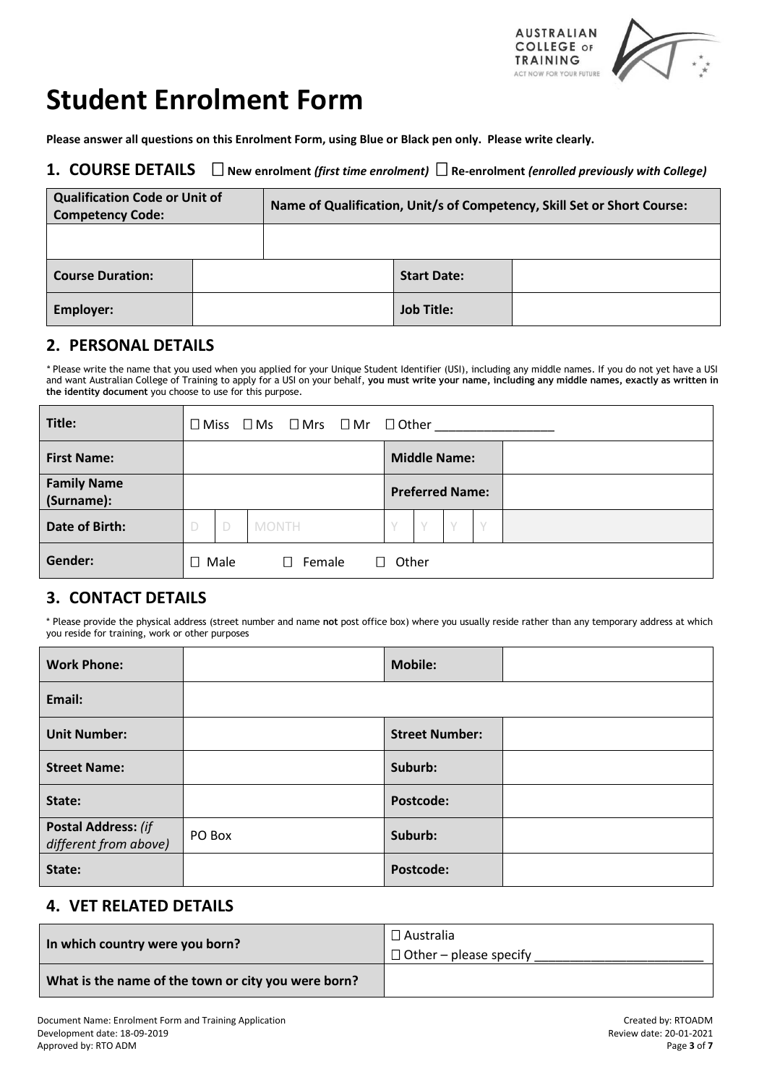

# **Student Enrolment Form**

**Please answer all questions on this Enrolment Form, using Blue or Black pen only. Please write clearly.**

## **1. COURSE DETAILS New enrolment** *(first time enrolment)* **Re-enrolment** *(enrolled previously with College)*

| <b>Qualification Code or Unit of</b><br><b>Competency Code:</b> | Name of Qualification, Unit/s of Competency, Skill Set or Short Course: |                    |  |
|-----------------------------------------------------------------|-------------------------------------------------------------------------|--------------------|--|
|                                                                 |                                                                         |                    |  |
| <b>Course Duration:</b>                                         |                                                                         | <b>Start Date:</b> |  |
| Employer:                                                       |                                                                         | <b>Job Title:</b>  |  |

## **2. PERSONAL DETAILS**

*\** Please write the name that you used when you applied for your Unique Student Identifier (USI), including any middle names. If you do not yet have a USI and want Australian College of Training to apply for a USI on your behalf, **you must write your name, including any middle names, exactly as written in the identity document** you choose to use for this purpose.

| Title:                           | $\square$ Miss |   | $\square$ Ms | $\square$ Mrs $\square$ Mr | $\Box$ Other |                        |   |  |  |  |
|----------------------------------|----------------|---|--------------|----------------------------|--------------|------------------------|---|--|--|--|
| <b>First Name:</b>               |                |   |              |                            |              | <b>Middle Name:</b>    |   |  |  |  |
| <b>Family Name</b><br>(Surname): |                |   |              |                            |              | <b>Preferred Name:</b> |   |  |  |  |
| Date of Birth:                   | D              | D | <b>MONTH</b> |                            | Y            |                        | V |  |  |  |
| Gender:                          | $\square$ Male |   |              | Female<br>$\Box$           | Other        |                        |   |  |  |  |

# **3. CONTACT DETAILS**

\* Please provide the physical address (street number and name **not** post office box) where you usually reside rather than any temporary address at which you reside for training, work or other purposes

| <b>Work Phone:</b>                                  |        | <b>Mobile:</b>        |  |
|-----------------------------------------------------|--------|-----------------------|--|
| Email:                                              |        |                       |  |
| <b>Unit Number:</b>                                 |        | <b>Street Number:</b> |  |
| <b>Street Name:</b>                                 |        | Suburb:               |  |
| State:                                              |        | <b>Postcode:</b>      |  |
| <b>Postal Address: (if</b><br>different from above) | PO Box | Suburb:               |  |
| State:                                              |        | Postcode:             |  |

## **4. VET RELATED DETAILS**

| In which country were you born?                     | $\Box$ Australia<br>$\Box$ Other – please specify |
|-----------------------------------------------------|---------------------------------------------------|
| What is the name of the town or city you were born? |                                                   |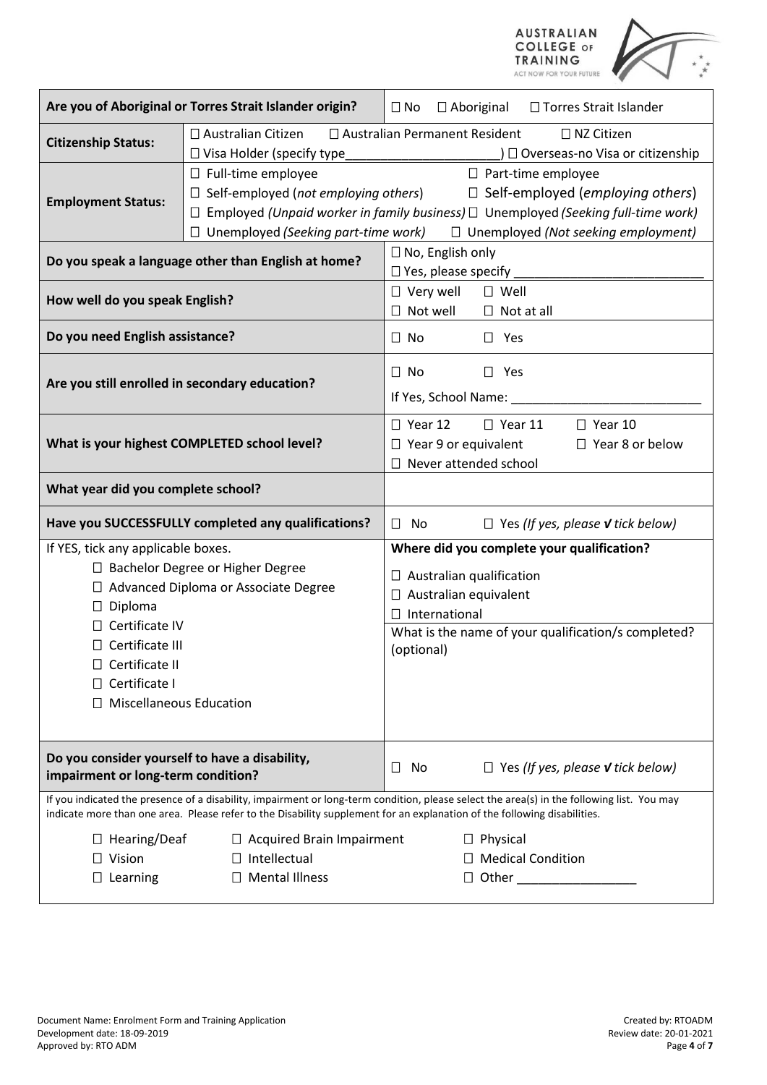

|                                                                                                                                      | Are you of Aboriginal or Torres Strait Islander origin?                                                                | □ Torres Strait Islander<br>$\Box$ No<br>$\Box$ Aboriginal                                                                                                                                                                                                             |  |  |  |
|--------------------------------------------------------------------------------------------------------------------------------------|------------------------------------------------------------------------------------------------------------------------|------------------------------------------------------------------------------------------------------------------------------------------------------------------------------------------------------------------------------------------------------------------------|--|--|--|
| <b>Citizenship Status:</b>                                                                                                           | $\square$ Australian Citizen<br>□ Visa Holder (specify type_                                                           | □ Australian Permanent Resident<br>□ NZ Citizen<br>) □ Overseas-no Visa or citizenship                                                                                                                                                                                 |  |  |  |
| <b>Employment Status:</b>                                                                                                            | $\Box$ Full-time employee<br>$\Box$ Self-employed (not employing others)<br>$\Box$ Unemployed (Seeking part-time work) | □ Part-time employee<br>$\Box$ Self-employed (employing others)<br>$\Box$ Employed (Unpaid worker in family business) $\Box$ Unemployed (Seeking full-time work)<br>$\Box$ Unemployed (Not seeking employment)                                                         |  |  |  |
|                                                                                                                                      | Do you speak a language other than English at home?                                                                    | $\Box$ No, English only<br>$\Box$ Yes, please specify                                                                                                                                                                                                                  |  |  |  |
| How well do you speak English?                                                                                                       |                                                                                                                        | $\Box$ Very well<br>$\square$ Well<br>$\Box$ Not well<br>$\Box$ Not at all                                                                                                                                                                                             |  |  |  |
| Do you need English assistance?                                                                                                      |                                                                                                                        | $\Box$ No<br>$\square$ Yes                                                                                                                                                                                                                                             |  |  |  |
| Are you still enrolled in secondary education?                                                                                       |                                                                                                                        | $\Box$ No<br>$\Box$ Yes<br>If Yes, School Name: _                                                                                                                                                                                                                      |  |  |  |
|                                                                                                                                      | What is your highest COMPLETED school level?                                                                           | $\Box$ Year 12<br>$\Box$ Year 11<br>$\Box$ Year 10<br>$\Box$ Year 9 or equivalent<br>$\Box$ Year 8 or below<br>Never attended school<br>П                                                                                                                              |  |  |  |
| What year did you complete school?                                                                                                   |                                                                                                                        |                                                                                                                                                                                                                                                                        |  |  |  |
|                                                                                                                                      | Have you SUCCESSFULLY completed any qualifications?                                                                    | No<br>$\Box$<br>$\Box$ Yes (If yes, please <b>v</b> tick below)                                                                                                                                                                                                        |  |  |  |
| If YES, tick any applicable boxes.<br>□ Bachelor Degree or Higher Degree<br>□ Advanced Diploma or Associate Degree<br>$\Box$ Diploma |                                                                                                                        | Where did you complete your qualification?<br>Australian qualification<br>Australian equivalent<br>International<br>П                                                                                                                                                  |  |  |  |
| $\Box$ Certificate IV<br>$\Box$ Certificate III<br>$\Box$ Certificate II<br>$\Box$ Certificate I<br>$\Box$ Miscellaneous Education   |                                                                                                                        | What is the name of your qualification/s completed?<br>(optional)                                                                                                                                                                                                      |  |  |  |
| Do you consider yourself to have a disability,<br>impairment or long-term condition?                                                 |                                                                                                                        | $\Box$ Yes (If yes, please <b>v</b> tick below)<br>No<br>$\Box$                                                                                                                                                                                                        |  |  |  |
|                                                                                                                                      |                                                                                                                        | If you indicated the presence of a disability, impairment or long-term condition, please select the area(s) in the following list. You may<br>indicate more than one area. Please refer to the Disability supplement for an explanation of the following disabilities. |  |  |  |
| $\Box$ Hearing/Deaf<br>$\Box$ Vision<br>$\Box$ Learning                                                                              | $\Box$ Acquired Brain Impairment<br>$\Box$ Intellectual<br>$\square$ Mental Illness                                    | $\Box$ Physical<br>$\Box$ Medical Condition<br>$\Box$ Other                                                                                                                                                                                                            |  |  |  |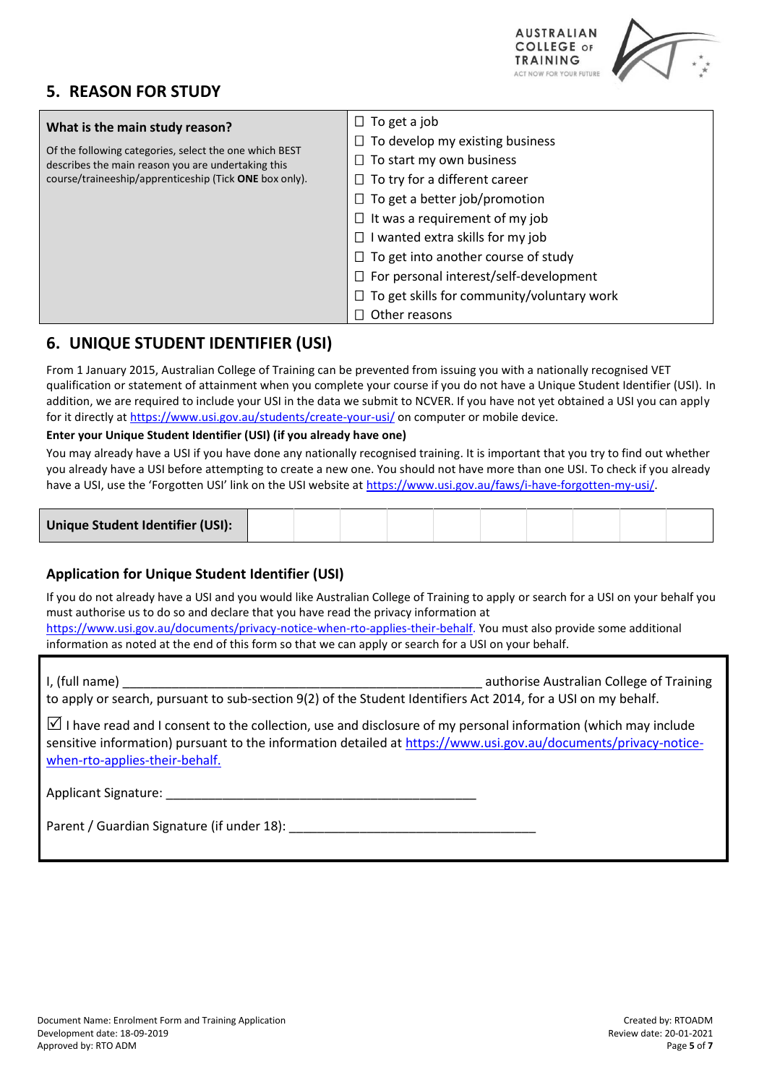# **5. REASON FOR STUDY**



| What is the main study reason?                                                                               | To get a job                                  |
|--------------------------------------------------------------------------------------------------------------|-----------------------------------------------|
| Of the following categories, select the one which BEST<br>describes the main reason you are undertaking this | To develop my existing business               |
|                                                                                                              | $\Box$ To start my own business               |
| course/traineeship/apprenticeship (Tick ONE box only).                                                       | $\Box$ To try for a different career          |
|                                                                                                              | $\Box$ To get a better job/promotion          |
|                                                                                                              | It was a requirement of my job                |
|                                                                                                              | I wanted extra skills for my job              |
|                                                                                                              | $\Box$ To get into another course of study    |
|                                                                                                              | $\Box$ For personal interest/self-development |
|                                                                                                              | To get skills for community/voluntary work    |
|                                                                                                              | Other reasons                                 |

# **6. UNIQUE STUDENT IDENTIFIER (USI)**

From 1 January 2015, Australian College of Training can be prevented from issuing you with a nationally recognised VET qualification or statement of attainment when you complete your course if you do not have a Unique Student Identifier (USI). In addition, we are required to include your USI in the data we submit to NCVER. If you have not yet obtained a USI you can apply for it directly at<https://www.usi.gov.au/students/create-your-usi/> on computer or mobile device.

## **Enter your Unique Student Identifier (USI) (if you already have one)**

You may already have a USI if you have done any nationally recognised training. It is important that you try to find out whether you already have a USI before attempting to create a new one. You should not have more than one USI. To check if you already have a USI, use the 'Forgotten USI' link on the USI website at [https://www.usi.gov.au/faws/i-have-forgotten-my-usi/.](https://www.usi.gov.au/faws/i-have-forgotten-my-usi/)

| Unique Student Identifier (USI): |  |  |  |  |  |  |
|----------------------------------|--|--|--|--|--|--|
|----------------------------------|--|--|--|--|--|--|

## **Application for Unique Student Identifier (USI)**

If you do not already have a USI and you would like Australian College of Training to apply or search for a USI on your behalf you must authorise us to do so and declare that you have read the privacy information at [https://www.usi.gov.au/documents/privacy-notice-when-rto-applies-their-behalf.](https://www.usi.gov.au/documents/privacy-notice-when-rto-applies-their-behalf) You must also provide some additional information as noted at the end of this form so that we can apply or search for a USI on your behalf.

I, (full name) **Example 2** authorise Australian College of Training to apply or search, pursuant to sub-section 9(2) of the Student Identifiers Act 2014, for a USI on my behalf. I have read and I consent to the collection, use and disclosure of my personal information (which may include sensitive information) pursuant to the information detailed a[t https://www.usi.gov.au/documents/privacy-notice](https://www.usi.gov.au/documents/privacy-notice-when-rto-applies-their-behalf)[when-rto-applies-their-behalf.](https://www.usi.gov.au/documents/privacy-notice-when-rto-applies-their-behalf) Applicant Signature:

Parent / Guardian Signature (if under 18):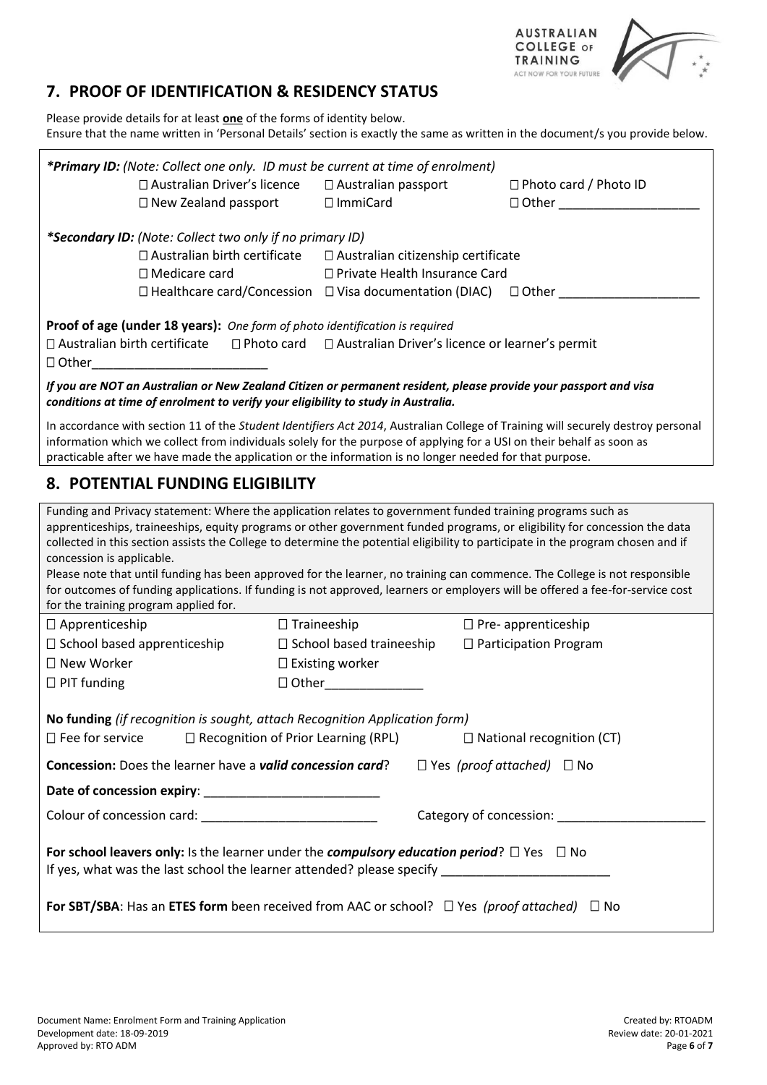

# **7. PROOF OF IDENTIFICATION & RESIDENCY STATUS**

Please provide details for at least **one** of the forms of identity below. Ensure that the name written in 'Personal Details' section is exactly the same as written in the document/s you provide below.

| *Primary ID: (Note: Collect one only. ID must be current at time of enrolment)                                                                                                                                                                                                                                                                                                                                                                                                                                                                                                                                                                                                                                      |                                                                          |                                              |  |  |  |  |  |
|---------------------------------------------------------------------------------------------------------------------------------------------------------------------------------------------------------------------------------------------------------------------------------------------------------------------------------------------------------------------------------------------------------------------------------------------------------------------------------------------------------------------------------------------------------------------------------------------------------------------------------------------------------------------------------------------------------------------|--------------------------------------------------------------------------|----------------------------------------------|--|--|--|--|--|
| □ Australian Driver's licence<br>$\Box$ New Zealand passport                                                                                                                                                                                                                                                                                                                                                                                                                                                                                                                                                                                                                                                        | □ Australian passport<br>□ ImmiCard                                      | $\Box$ Photo card / Photo ID<br>$\Box$ Other |  |  |  |  |  |
|                                                                                                                                                                                                                                                                                                                                                                                                                                                                                                                                                                                                                                                                                                                     |                                                                          |                                              |  |  |  |  |  |
| *Secondary ID: (Note: Collect two only if no primary ID)                                                                                                                                                                                                                                                                                                                                                                                                                                                                                                                                                                                                                                                            |                                                                          |                                              |  |  |  |  |  |
| $\Box$ Australian birth certificate                                                                                                                                                                                                                                                                                                                                                                                                                                                                                                                                                                                                                                                                                 | □ Australian citizenship certificate                                     |                                              |  |  |  |  |  |
| $\square$ Medicare card                                                                                                                                                                                                                                                                                                                                                                                                                                                                                                                                                                                                                                                                                             | □ Private Health Insurance Card                                          |                                              |  |  |  |  |  |
| $\Box$ Healthcare card/Concession $\Box$ Visa documentation (DIAC) $\Box$ Other                                                                                                                                                                                                                                                                                                                                                                                                                                                                                                                                                                                                                                     |                                                                          |                                              |  |  |  |  |  |
| Proof of age (under 18 years): One form of photo identification is required                                                                                                                                                                                                                                                                                                                                                                                                                                                                                                                                                                                                                                         |                                                                          |                                              |  |  |  |  |  |
| $\Box$ Australian birth certificate                                                                                                                                                                                                                                                                                                                                                                                                                                                                                                                                                                                                                                                                                 | $\Box$ Photo card $\Box$ Australian Driver's licence or learner's permit |                                              |  |  |  |  |  |
| $\Box$ Other<br>the control of the control of the control of the                                                                                                                                                                                                                                                                                                                                                                                                                                                                                                                                                                                                                                                    |                                                                          |                                              |  |  |  |  |  |
| If you are NOT an Australian or New Zealand Citizen or permanent resident, please provide your passport and visa<br>conditions at time of enrolment to verify your eligibility to study in Australia.                                                                                                                                                                                                                                                                                                                                                                                                                                                                                                               |                                                                          |                                              |  |  |  |  |  |
| In accordance with section 11 of the Student Identifiers Act 2014, Australian College of Training will securely destroy personal<br>information which we collect from individuals solely for the purpose of applying for a USI on their behalf as soon as<br>practicable after we have made the application or the information is no longer needed for that purpose.                                                                                                                                                                                                                                                                                                                                                |                                                                          |                                              |  |  |  |  |  |
| 8. POTENTIAL FUNDING ELIGIBILITY                                                                                                                                                                                                                                                                                                                                                                                                                                                                                                                                                                                                                                                                                    |                                                                          |                                              |  |  |  |  |  |
| Funding and Privacy statement: Where the application relates to government funded training programs such as<br>apprenticeships, traineeships, equity programs or other government funded programs, or eligibility for concession the data<br>collected in this section assists the College to determine the potential eligibility to participate in the program chosen and if<br>concession is applicable.<br>Please note that until funding has been approved for the learner, no training can commence. The College is not responsible<br>for outcomes of funding applications. If funding is not approved, learners or employers will be offered a fee-for-service cost<br>for the training program applied for. |                                                                          |                                              |  |  |  |  |  |
| $\Box$ Apprenticeship                                                                                                                                                                                                                                                                                                                                                                                                                                                                                                                                                                                                                                                                                               | $\Box$ Traineeship                                                       | $\Box$ Pre- apprenticeship                   |  |  |  |  |  |
| $\Box$ School based apprenticeship                                                                                                                                                                                                                                                                                                                                                                                                                                                                                                                                                                                                                                                                                  | $\Box$ School based traineeship                                          | $\Box$ Participation Program                 |  |  |  |  |  |
| □ New Worker                                                                                                                                                                                                                                                                                                                                                                                                                                                                                                                                                                                                                                                                                                        | $\square$ Existing worker                                                |                                              |  |  |  |  |  |
| $\Box$ PIT funding                                                                                                                                                                                                                                                                                                                                                                                                                                                                                                                                                                                                                                                                                                  | $\Box$ Other $\Box$                                                      |                                              |  |  |  |  |  |
|                                                                                                                                                                                                                                                                                                                                                                                                                                                                                                                                                                                                                                                                                                                     |                                                                          |                                              |  |  |  |  |  |
| No funding (if recognition is sought, attach Recognition Application form)<br>$\Box$ Fee for service<br>$\Box$ Recognition of Prior Learning (RPL)<br>$\Box$ National recognition (CT)                                                                                                                                                                                                                                                                                                                                                                                                                                                                                                                              |                                                                          |                                              |  |  |  |  |  |
| Concession: Does the learner have a valid concession card?<br>$\Box$ Yes (proof attached) $\Box$ No                                                                                                                                                                                                                                                                                                                                                                                                                                                                                                                                                                                                                 |                                                                          |                                              |  |  |  |  |  |
|                                                                                                                                                                                                                                                                                                                                                                                                                                                                                                                                                                                                                                                                                                                     |                                                                          |                                              |  |  |  |  |  |
|                                                                                                                                                                                                                                                                                                                                                                                                                                                                                                                                                                                                                                                                                                                     |                                                                          | Category of concession: _________            |  |  |  |  |  |
| For school leavers only: Is the learner under the <i>compulsory education period</i> ? $\square$ Yes $\square$ No<br>If yes, what was the last school the learner attended? please specify _____________________________                                                                                                                                                                                                                                                                                                                                                                                                                                                                                            |                                                                          |                                              |  |  |  |  |  |
| For SBT/SBA: Has an ETES form been received from AAC or school? $\Box$ Yes (proof attached) $\Box$ No                                                                                                                                                                                                                                                                                                                                                                                                                                                                                                                                                                                                               |                                                                          |                                              |  |  |  |  |  |